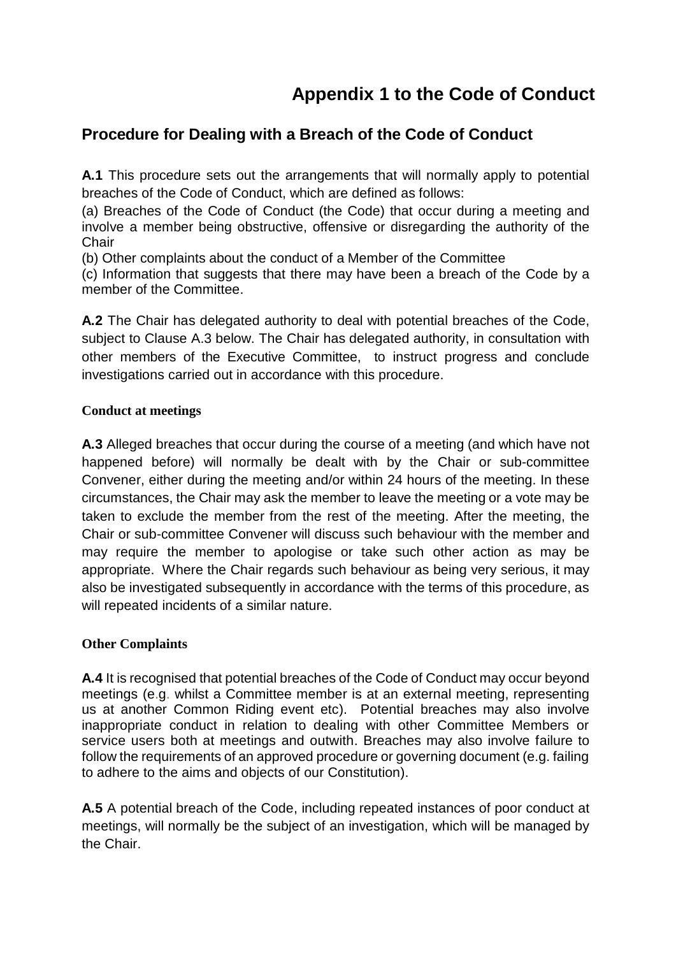# **Appendix 1 to the Code of Conduct**

## **Procedure for Dealing with a Breach of the Code of Conduct**

**A.1** This procedure sets out the arrangements that will normally apply to potential breaches of the Code of Conduct, which are defined as follows:

(a) Breaches of the Code of Conduct (the Code) that occur during a meeting and involve a member being obstructive, offensive or disregarding the authority of the **Chair** 

(b) Other complaints about the conduct of a Member of the Committee

(c) Information that suggests that there may have been a breach of the Code by a member of the Committee.

**A.2** The Chair has delegated authority to deal with potential breaches of the Code, subject to Clause A.3 below. The Chair has delegated authority, in consultation with other members of the Executive Committee, to instruct progress and conclude investigations carried out in accordance with this procedure.

#### **Conduct at meetings**

**A.3** Alleged breaches that occur during the course of a meeting (and which have not happened before) will normally be dealt with by the Chair or sub-committee Convener, either during the meeting and/or within 24 hours of the meeting. In these circumstances, the Chair may ask the member to leave the meeting or a vote may be taken to exclude the member from the rest of the meeting. After the meeting, the Chair or sub-committee Convener will discuss such behaviour with the member and may require the member to apologise or take such other action as may be appropriate. Where the Chair regards such behaviour as being very serious, it may also be investigated subsequently in accordance with the terms of this procedure, as will repeated incidents of a similar nature.

#### **Other Complaints**

**A.4** It is recognised that potential breaches of the Code of Conduct may occur beyond meetings (e.g. whilst a Committee member is at an external meeting, representing us at another Common Riding event etc). Potential breaches may also involve inappropriate conduct in relation to dealing with other Committee Members or service users both at meetings and outwith. Breaches may also involve failure to follow the requirements of an approved procedure or governing document (e.g. failing to adhere to the aims and objects of our Constitution).

**A.5** A potential breach of the Code, including repeated instances of poor conduct at meetings, will normally be the subject of an investigation, which will be managed by the Chair.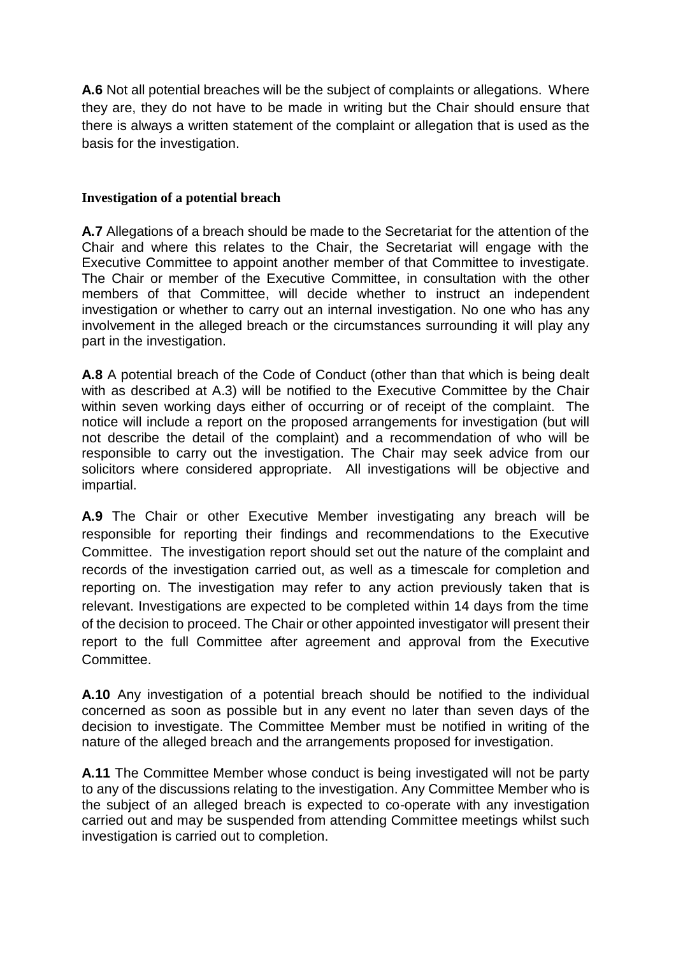**A.6** Not all potential breaches will be the subject of complaints or allegations. Where they are, they do not have to be made in writing but the Chair should ensure that there is always a written statement of the complaint or allegation that is used as the basis for the investigation.

#### **Investigation of a potential breach**

**A.7** Allegations of a breach should be made to the Secretariat for the attention of the Chair and where this relates to the Chair, the Secretariat will engage with the Executive Committee to appoint another member of that Committee to investigate. The Chair or member of the Executive Committee, in consultation with the other members of that Committee, will decide whether to instruct an independent investigation or whether to carry out an internal investigation. No one who has any involvement in the alleged breach or the circumstances surrounding it will play any part in the investigation.

**A.8** A potential breach of the Code of Conduct (other than that which is being dealt with as described at A.3) will be notified to the Executive Committee by the Chair within seven working days either of occurring or of receipt of the complaint. The notice will include a report on the proposed arrangements for investigation (but will not describe the detail of the complaint) and a recommendation of who will be responsible to carry out the investigation. The Chair may seek advice from our solicitors where considered appropriate. All investigations will be objective and impartial.

**A.9** The Chair or other Executive Member investigating any breach will be responsible for reporting their findings and recommendations to the Executive Committee. The investigation report should set out the nature of the complaint and records of the investigation carried out, as well as a timescale for completion and reporting on. The investigation may refer to any action previously taken that is relevant. Investigations are expected to be completed within 14 days from the time of the decision to proceed. The Chair or other appointed investigator will present their report to the full Committee after agreement and approval from the Executive Committee.

**A.10** Any investigation of a potential breach should be notified to the individual concerned as soon as possible but in any event no later than seven days of the decision to investigate. The Committee Member must be notified in writing of the nature of the alleged breach and the arrangements proposed for investigation.

**A.11** The Committee Member whose conduct is being investigated will not be party to any of the discussions relating to the investigation. Any Committee Member who is the subject of an alleged breach is expected to co-operate with any investigation carried out and may be suspended from attending Committee meetings whilst such investigation is carried out to completion.